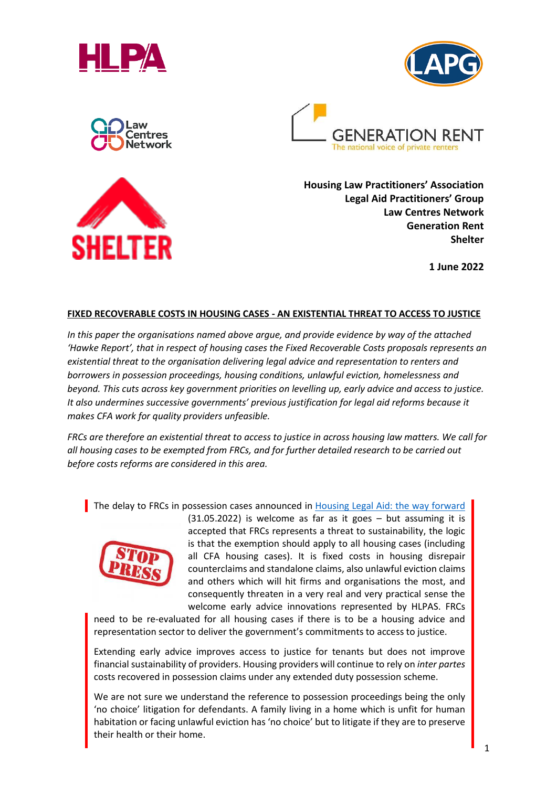









**Housing Law Practitioners' Association Legal Aid Practitioners' Group Law Centres Network Generation Rent Shelter**

**1 June 2022**

#### **FIXED RECOVERABLE COSTS IN HOUSING CASES - AN EXISTENTIAL THREAT TO ACCESS TO JUSTICE**

*In this paper the organisations named above argue, and provide evidence by way of the attached 'Hawke Report', that in respect of housing cases the Fixed Recoverable Costs proposals represents an existential threat to the organisation delivering legal advice and representation to renters and borrowers in possession proceedings, housing conditions, unlawful eviction, homelessness and beyond. This cuts across key government priorities on levelling up, early advice and access to justice. It also undermines successive governments' previous justification for legal aid reforms because it makes CFA work for quality providers unfeasible.*

*FRCs are therefore an existential threat to access to justice in across housing law matters. We call for all housing cases to be exempted from FRCs, and for further detailed research to be carried out before costs reforms are considered in this area.*

The delay to FRCs in possession cases announced in [Housing Legal Aid: the way forward](https://www.gov.uk/government/consultations/housing-legal-aid-the-way-forward)



(31.05.2022) is welcome as far as it goes – but assuming it is accepted that FRCs represents a threat to sustainability, the logic is that the exemption should apply to all housing cases (including all CFA housing cases). It is fixed costs in housing disrepair counterclaims and standalone claims, also unlawful eviction claims and others which will hit firms and organisations the most, and consequently threaten in a very real and very practical sense the welcome early advice innovations represented by HLPAS. FRCs

need to be re-evaluated for all housing cases if there is to be a housing advice and representation sector to deliver the government's commitments to access to justice.

Extending early advice improves access to justice for tenants but does not improve financial sustainability of providers. Housing providers will continue to rely on *inter partes* costs recovered in possession claims under any extended duty possession scheme.

We are not sure we understand the reference to possession proceedings being the only 'no choice' litigation for defendants. A family living in a home which is unfit for human habitation or facing unlawful eviction has 'no choice' but to litigate if they are to preserve their health or their home.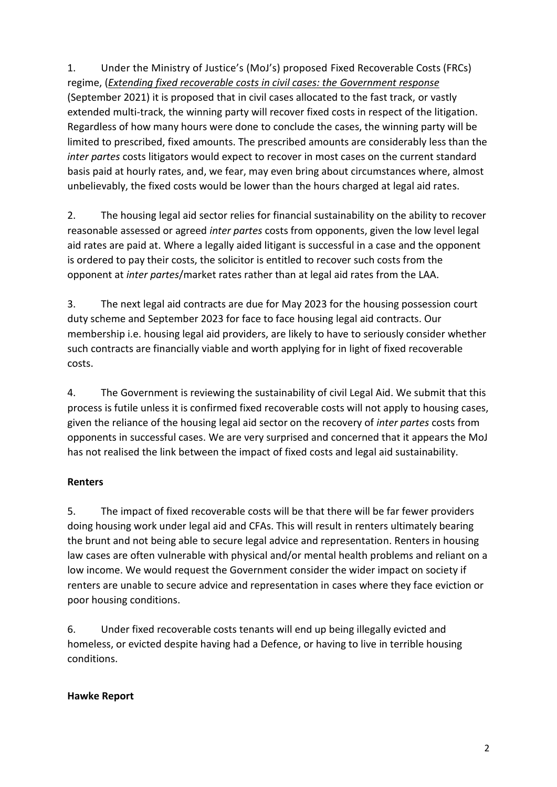1. Under the Ministry of Justice's (MoJ's) proposed Fixed Recoverable Costs (FRCs) regime, (*[Extending fixed recoverable costs in civil cases: the Government response](https://www.gov.uk/government/consultations/fixed-recoverable-costs-consultation)* (September 2021) it is proposed that in civil cases allocated to the fast track, or vastly extended multi-track, the winning party will recover fixed costs in respect of the litigation. Regardless of how many hours were done to conclude the cases, the winning party will be limited to prescribed, fixed amounts. The prescribed amounts are considerably less than the *inter partes* costs litigators would expect to recover in most cases on the current standard basis paid at hourly rates, and, we fear, may even bring about circumstances where, almost unbelievably, the fixed costs would be lower than the hours charged at legal aid rates.

2. The housing legal aid sector relies for financial sustainability on the ability to recover reasonable assessed or agreed *inter partes* costs from opponents, given the low level legal aid rates are paid at. Where a legally aided litigant is successful in a case and the opponent is ordered to pay their costs, the solicitor is entitled to recover such costs from the opponent at *inter partes*/market rates rather than at legal aid rates from the LAA.

3. The next legal aid contracts are due for May 2023 for the housing possession court duty scheme and September 2023 for face to face housing legal aid contracts. Our membership i.e. housing legal aid providers, are likely to have to seriously consider whether such contracts are financially viable and worth applying for in light of fixed recoverable costs.

4. The Government is reviewing the sustainability of civil Legal Aid. We submit that this process is futile unless it is confirmed fixed recoverable costs will not apply to housing cases, given the reliance of the housing legal aid sector on the recovery of *inter partes* costs from opponents in successful cases. We are very surprised and concerned that it appears the MoJ has not realised the link between the impact of fixed costs and legal aid sustainability.

## **Renters**

5. The impact of fixed recoverable costs will be that there will be far fewer providers doing housing work under legal aid and CFAs. This will result in renters ultimately bearing the brunt and not being able to secure legal advice and representation. Renters in housing law cases are often vulnerable with physical and/or mental health problems and reliant on a low income. We would request the Government consider the wider impact on society if renters are unable to secure advice and representation in cases where they face eviction or poor housing conditions.

6. Under fixed recoverable costs tenants will end up being illegally evicted and homeless, or evicted despite having had a Defence, or having to live in terrible housing conditions.

#### **Hawke Report**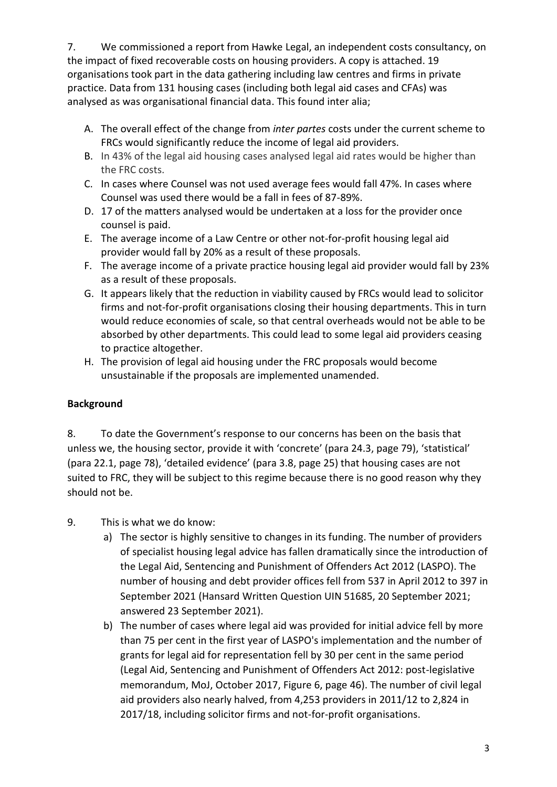7. We commissioned a report from Hawke Legal, an independent costs consultancy, on the impact of fixed recoverable costs on housing providers. A copy is attached. 19 organisations took part in the data gathering including law centres and firms in private practice. Data from 131 housing cases (including both legal aid cases and CFAs) was analysed as was organisational financial data. This found inter alia;

- A. The overall effect of the change from *inter partes* costs under the current scheme to FRCs would significantly reduce the income of legal aid providers.
- B. In 43% of the legal aid housing cases analysed legal aid rates would be higher than the FRC costs.
- C. In cases where Counsel was not used average fees would fall 47%. In cases where Counsel was used there would be a fall in fees of 87-89%.
- D. 17 of the matters analysed would be undertaken at a loss for the provider once counsel is paid.
- E. The average income of a Law Centre or other not-for-profit housing legal aid provider would fall by 20% as a result of these proposals.
- F. The average income of a private practice housing legal aid provider would fall by 23% as a result of these proposals.
- G. It appears likely that the reduction in viability caused by FRCs would lead to solicitor firms and not-for-profit organisations closing their housing departments. This in turn would reduce economies of scale, so that central overheads would not be able to be absorbed by other departments. This could lead to some legal aid providers ceasing to practice altogether.
- H. The provision of legal aid housing under the FRC proposals would become unsustainable if the proposals are implemented unamended.

## **Background**

8. To date the Government's response to our concerns has been on the basis that unless we, the housing sector, provide it with 'concrete' (para 24.3, page 79), 'statistical' (para 22.1, page 78), 'detailed evidence' (para 3.8, page 25) that housing cases are not suited to FRC, they will be subject to this regime because there is no good reason why they should not be.

- 9. This is what we do know:
	- a) The sector is highly sensitive to changes in its funding. The number of providers of specialist housing legal advice has fallen dramatically since the introduction of the Legal Aid, Sentencing and Punishment of Offenders Act 2012 (LASPO). The number of housing and debt provider offices fell from 537 in April 2012 to 397 in September 2021 (Hansard Written Question UIN 51685, 20 September 2021; answered 23 September 2021).
	- b) The number of cases where legal aid was provided for initial advice fell by more than 75 per cent in the first year of LASPO's implementation and the number of grants for legal aid for representation fell by 30 per cent in the same period (Legal Aid, Sentencing and Punishment of Offenders Act 2012: post-legislative memorandum, MoJ, October 2017, Figure 6, page 46). The number of civil legal aid providers also nearly halved, from 4,253 providers in 2011/12 to 2,824 in 2017/18, including solicitor firms and not-for-profit organisations.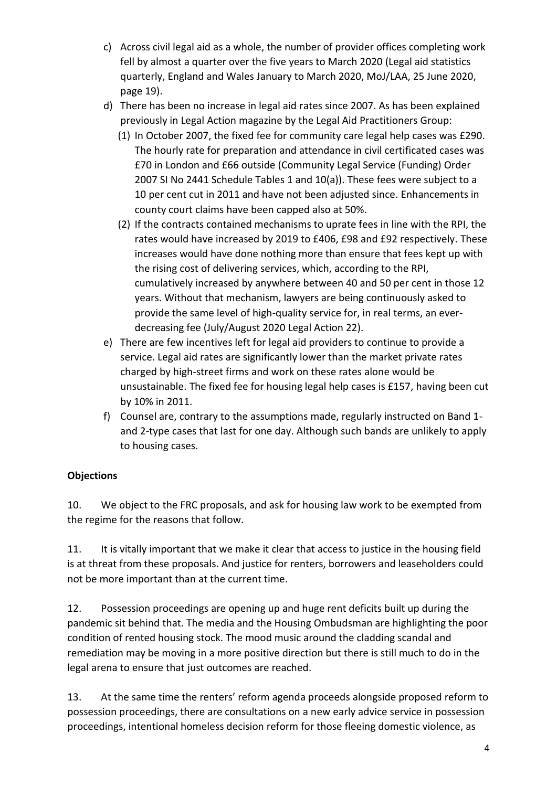- c) Across civil legal aid as a whole, the number of provider offices completing work fell by almost a quarter over the five years to March 2020 (Legal aid statistics quarterly, England and Wales January to March 2020, MoJ/LAA, 25 June 2020, page 19).
- d) There has been no increase in legal aid rates since 2007. As has been explained previously in Legal Action magazine by the Legal Aid Practitioners Group:
	- (1) In October 2007, the fixed fee for community care legal help cases was £290. The hourly rate for preparation and attendance in civil certificated cases was £70 in London and £66 outside (Community Legal Service (Funding) Order 2007 SI No 2441 Schedule Tables 1 and 10(a)). These fees were subject to a 10 per cent cut in 2011 and have not been adjusted since. Enhancements in county court claims have been capped also at 50%.
	- (2) If the contracts contained mechanisms to uprate fees in line with the RPI, the rates would have increased by 2019 to £406, £98 and £92 respectively. These increases would have done nothing more than ensure that fees kept up with the rising cost of delivering services, which, according to the RPI, cumulatively increased by anywhere between 40 and 50 per cent in those 12 years. Without that mechanism, lawyers are being continuously asked to provide the same level of high-quality service for, in real terms, an everdecreasing fee (July/August 2020 Legal Action 22).
- e) There are few incentives left for legal aid providers to continue to provide a service. Legal aid rates are significantly lower than the market private rates charged by high-street firms and work on these rates alone would be unsustainable. The fixed fee for housing legal help cases is £157, having been cut by 10% in 2011.
- f) Counsel are, contrary to the assumptions made, regularly instructed on Band 1 and 2-type cases that last for one day. Although such bands are unlikely to apply to housing cases.

# **Objections**

10. We object to the FRC proposals, and ask for housing law work to be exempted from the regime for the reasons that follow.

11. It is vitally important that we make it clear that access to justice in the housing field is at threat from these proposals. And justice for renters, borrowers and leaseholders could not be more important than at the current time.

12. Possession proceedings are opening up and huge rent deficits built up during the pandemic sit behind that. The media and the Housing Ombudsman are highlighting the poor condition of rented housing stock. The mood music around the cladding scandal and remediation may be moving in a more positive direction but there is still much to do in the legal arena to ensure that just outcomes are reached.

13. At the same time the renters' reform agenda proceeds alongside proposed reform to possession proceedings, there are consultations on a new early advice service in possession proceedings, intentional homeless decision reform for those fleeing domestic violence, as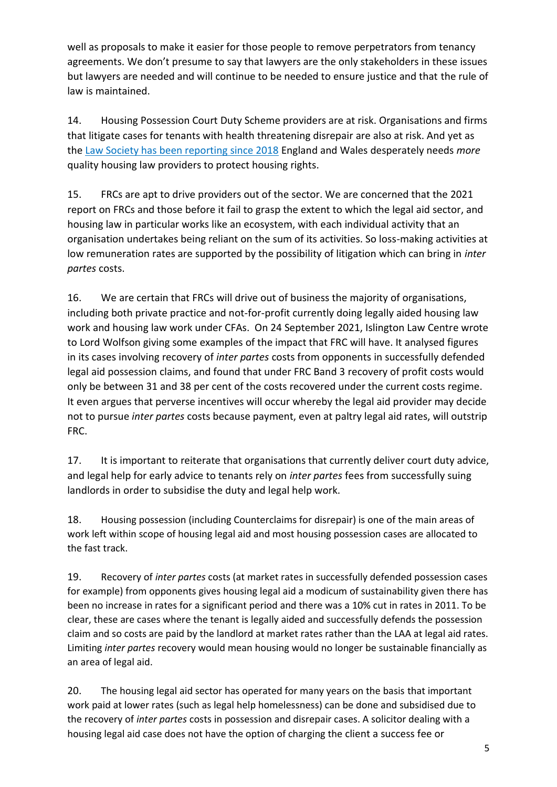well as proposals to make it easier for those people to remove perpetrators from tenancy agreements. We don't presume to say that lawyers are the only stakeholders in these issues but lawyers are needed and will continue to be needed to ensure justice and that the rule of law is maintained.

14. Housing Possession Court Duty Scheme providers are at risk. Organisations and firms that litigate cases for tenants with health threatening disrepair are also at risk. And yet as the [Law Society has been reporting since 2018](https://www.lawsociety.org.uk/campaigns/) England and Wales desperately needs *more* quality housing law providers to protect housing rights.

15. FRCs are apt to drive providers out of the sector. We are concerned that the 2021 report on FRCs and those before it fail to grasp the extent to which the legal aid sector, and housing law in particular works like an ecosystem, with each individual activity that an organisation undertakes being reliant on the sum of its activities. So loss-making activities at low remuneration rates are supported by the possibility of litigation which can bring in *inter partes* costs.

16. We are certain that FRCs will drive out of business the majority of organisations, including both private practice and not-for-profit currently doing legally aided housing law work and housing law work under CFAs. On 24 September 2021, Islington Law Centre wrote to Lord Wolfson giving some examples of the impact that FRC will have. It analysed figures in its cases involving recovery of *inter partes* costs from opponents in successfully defended legal aid possession claims, and found that under FRC Band 3 recovery of profit costs would only be between 31 and 38 per cent of the costs recovered under the current costs regime. It even argues that perverse incentives will occur whereby the legal aid provider may decide not to pursue *inter partes* costs because payment, even at paltry legal aid rates, will outstrip FRC.

17. It is important to reiterate that organisations that currently deliver court duty advice, and legal help for early advice to tenants rely on *inter partes* fees from successfully suing landlords in order to subsidise the duty and legal help work.

18. Housing possession (including Counterclaims for disrepair) is one of the main areas of work left within scope of housing legal aid and most housing possession cases are allocated to the fast track.

19. Recovery of *inter partes* costs (at market rates in successfully defended possession cases for example) from opponents gives housing legal aid a modicum of sustainability given there has been no increase in rates for a significant period and there was a 10% cut in rates in 2011. To be clear, these are cases where the tenant is legally aided and successfully defends the possession claim and so costs are paid by the landlord at market rates rather than the LAA at legal aid rates. Limiting *inter partes* recovery would mean housing would no longer be sustainable financially as an area of legal aid.

20. The housing legal aid sector has operated for many years on the basis that important work paid at lower rates (such as legal help homelessness) can be done and subsidised due to the recovery of *inter partes* costs in possession and disrepair cases. A solicitor dealing with a housing legal aid case does not have the option of charging the client a success fee or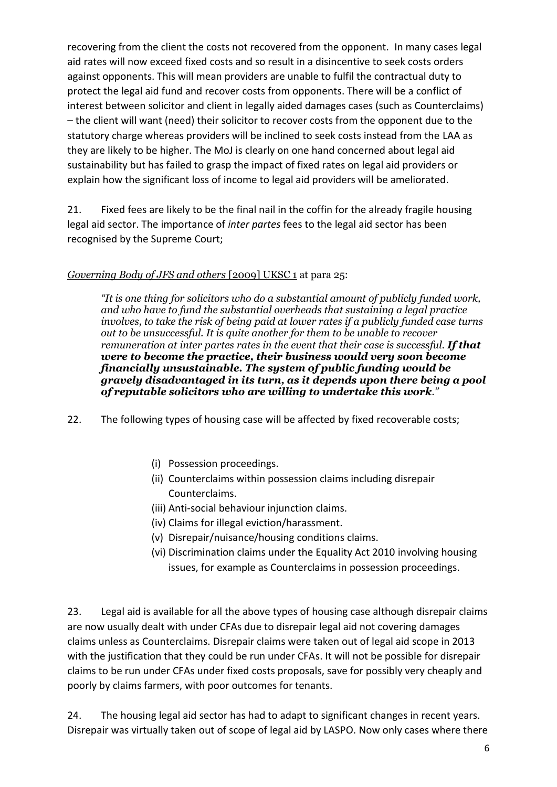recovering from the client the costs not recovered from the opponent. In many cases legal aid rates will now exceed fixed costs and so result in a disincentive to seek costs orders against opponents. This will mean providers are unable to fulfil the contractual duty to protect the legal aid fund and recover costs from opponents. There will be a conflict of interest between solicitor and client in legally aided damages cases (such as Counterclaims) – the client will want (need) their solicitor to recover costs from the opponent due to the statutory charge whereas providers will be inclined to seek costs instead from the LAA as they are likely to be higher. The MoJ is clearly on one hand concerned about legal aid sustainability but has failed to grasp the impact of fixed rates on legal aid providers or explain how the significant loss of income to legal aid providers will be ameliorated.

21. Fixed fees are likely to be the final nail in the coffin for the already fragile housing legal aid sector. The importance of *inter partes* fees to the legal aid sector has been recognised by the Supreme Court;

## *Governing Body of JFS and others* [2009] UKSC 1 at para 25:

*"It is one thing for solicitors who do a substantial amount of publicly funded work, and who have to fund the substantial overheads that sustaining a legal practice involves, to take the risk of being paid at lower rates if a publicly funded case turns out to be unsuccessful. It is quite another for them to be unable to recover remuneration at inter partes rates in the event that their case is successful. If that were to become the practice, their business would very soon become financially unsustainable. The system of public funding would be gravely disadvantaged in its turn, as it depends upon there being a pool of reputable solicitors who are willing to undertake this work."*

- 22. The following types of housing case will be affected by fixed recoverable costs;
	- (i) Possession proceedings.
	- (ii) Counterclaims within possession claims including disrepair Counterclaims.
	- (iii) Anti-social behaviour injunction claims.
	- (iv) Claims for illegal eviction/harassment.
	- (v) Disrepair/nuisance/housing conditions claims.
	- (vi) Discrimination claims under the Equality Act 2010 involving housing issues, for example as Counterclaims in possession proceedings.

23. Legal aid is available for all the above types of housing case although disrepair claims are now usually dealt with under CFAs due to disrepair legal aid not covering damages claims unless as Counterclaims. Disrepair claims were taken out of legal aid scope in 2013 with the justification that they could be run under CFAs. It will not be possible for disrepair claims to be run under CFAs under fixed costs proposals, save for possibly very cheaply and poorly by claims farmers, with poor outcomes for tenants.

24. The housing legal aid sector has had to adapt to significant changes in recent years. Disrepair was virtually taken out of scope of legal aid by LASPO. Now only cases where there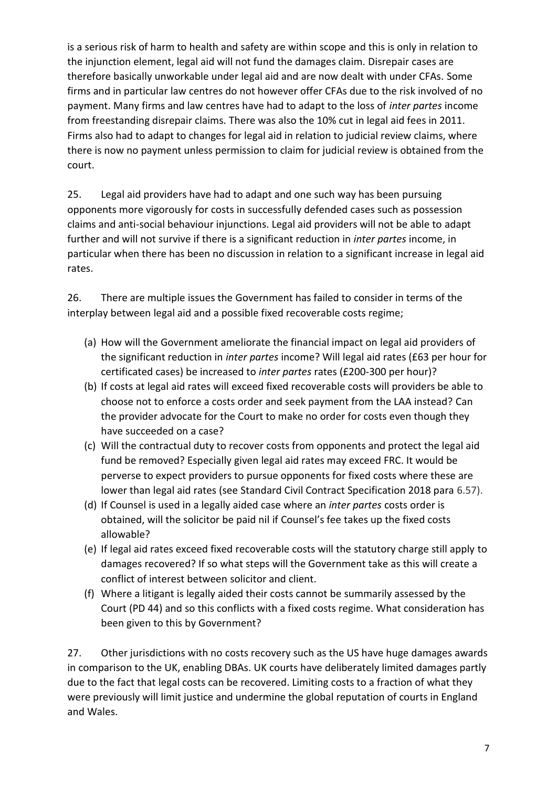is a serious risk of harm to health and safety are within scope and this is only in relation to the injunction element, legal aid will not fund the damages claim. Disrepair cases are therefore basically unworkable under legal aid and are now dealt with under CFAs. Some firms and in particular law centres do not however offer CFAs due to the risk involved of no payment. Many firms and law centres have had to adapt to the loss of *inter partes* income from freestanding disrepair claims. There was also the 10% cut in legal aid fees in 2011. Firms also had to adapt to changes for legal aid in relation to judicial review claims, where there is now no payment unless permission to claim for judicial review is obtained from the court.

25. Legal aid providers have had to adapt and one such way has been pursuing opponents more vigorously for costs in successfully defended cases such as possession claims and anti-social behaviour injunctions. Legal aid providers will not be able to adapt further and will not survive if there is a significant reduction in *inter partes* income, in particular when there has been no discussion in relation to a significant increase in legal aid rates.

26. There are multiple issues the Government has failed to consider in terms of the interplay between legal aid and a possible fixed recoverable costs regime;

- (a) How will the Government ameliorate the financial impact on legal aid providers of the significant reduction in *inter partes* income? Will legal aid rates (£63 per hour for certificated cases) be increased to *inter partes* rates (£200-300 per hour)?
- (b) If costs at legal aid rates will exceed fixed recoverable costs will providers be able to choose not to enforce a costs order and seek payment from the LAA instead? Can the provider advocate for the Court to make no order for costs even though they have succeeded on a case?
- (c) Will the contractual duty to recover costs from opponents and protect the legal aid fund be removed? Especially given legal aid rates may exceed FRC. It would be perverse to expect providers to pursue opponents for fixed costs where these are lower than legal aid rates (see Standard Civil Contract Specification 2018 para 6.57).
- (d) If Counsel is used in a legally aided case where an *inter partes* costs order is obtained, will the solicitor be paid nil if Counsel's fee takes up the fixed costs allowable?
- (e) If legal aid rates exceed fixed recoverable costs will the statutory charge still apply to damages recovered? If so what steps will the Government take as this will create a conflict of interest between solicitor and client.
- (f) Where a litigant is legally aided their costs cannot be summarily assessed by the Court (PD 44) and so this conflicts with a fixed costs regime. What consideration has been given to this by Government?

27. Other jurisdictions with no costs recovery such as the US have huge damages awards in comparison to the UK, enabling DBAs. UK courts have deliberately limited damages partly due to the fact that legal costs can be recovered. Limiting costs to a fraction of what they were previously will limit justice and undermine the global reputation of courts in England and Wales.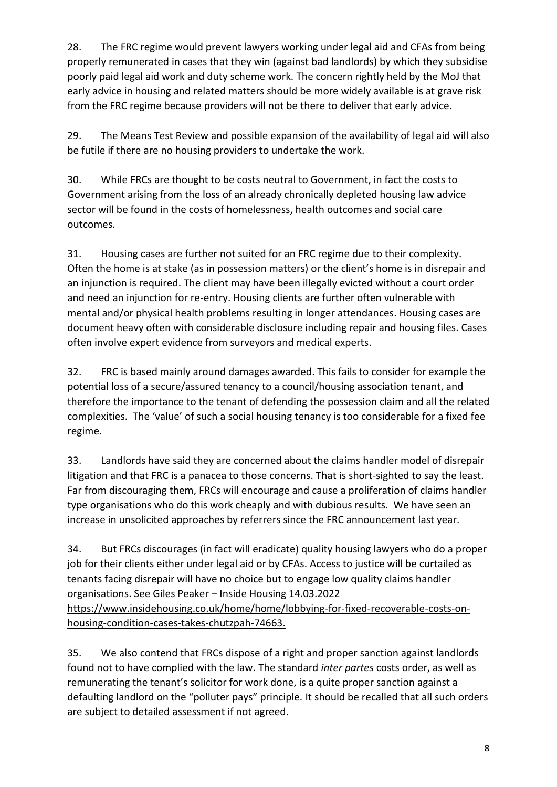28. The FRC regime would prevent lawyers working under legal aid and CFAs from being properly remunerated in cases that they win (against bad landlords) by which they subsidise poorly paid legal aid work and duty scheme work. The concern rightly held by the MoJ that early advice in housing and related matters should be more widely available is at grave risk from the FRC regime because providers will not be there to deliver that early advice.

29. The Means Test Review and possible expansion of the availability of legal aid will also be futile if there are no housing providers to undertake the work.

30. While FRCs are thought to be costs neutral to Government, in fact the costs to Government arising from the loss of an already chronically depleted housing law advice sector will be found in the costs of homelessness, health outcomes and social care outcomes.

31. Housing cases are further not suited for an FRC regime due to their complexity. Often the home is at stake (as in possession matters) or the client's home is in disrepair and an injunction is required. The client may have been illegally evicted without a court order and need an injunction for re-entry. Housing clients are further often vulnerable with mental and/or physical health problems resulting in longer attendances. Housing cases are document heavy often with considerable disclosure including repair and housing files. Cases often involve expert evidence from surveyors and medical experts.

32. FRC is based mainly around damages awarded. This fails to consider for example the potential loss of a secure/assured tenancy to a council/housing association tenant, and therefore the importance to the tenant of defending the possession claim and all the related complexities. The 'value' of such a social housing tenancy is too considerable for a fixed fee regime.

33. Landlords have said they are concerned about the claims handler model of disrepair litigation and that FRC is a panacea to those concerns. That is short-sighted to say the least. Far from discouraging them, FRCs will encourage and cause a proliferation of claims handler type organisations who do this work cheaply and with dubious results. We have seen an increase in unsolicited approaches by referrers since the FRC announcement last year.

34. But FRCs discourages (in fact will eradicate) quality housing lawyers who do a proper job for their clients either under legal aid or by CFAs. Access to justice will be curtailed as tenants facing disrepair will have no choice but to engage low quality claims handler organisations. See Giles Peaker – Inside Housing 14.03.2022 [https://www.insidehousing.co.uk/home/home/lobbying-for-fixed-recoverable-costs-on](https://protect-eu.mimecast.com/s/Y8fnCLg1wI8pYvFBKejk?domain=insidehousing.co.uk)[housing-condition-cases-takes-chutzpah-74663.](https://protect-eu.mimecast.com/s/Y8fnCLg1wI8pYvFBKejk?domain=insidehousing.co.uk)

35. We also contend that FRCs dispose of a right and proper sanction against landlords found not to have complied with the law. The standard *inter partes* costs order, as well as remunerating the tenant's solicitor for work done, is a quite proper sanction against a defaulting landlord on the "polluter pays" principle. It should be recalled that all such orders are subject to detailed assessment if not agreed.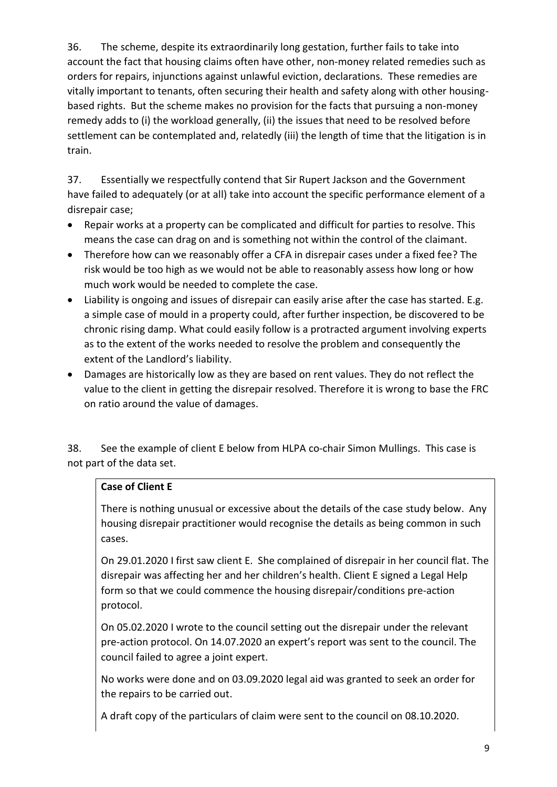36. The scheme, despite its extraordinarily long gestation, further fails to take into account the fact that housing claims often have other, non-money related remedies such as orders for repairs, injunctions against unlawful eviction, declarations. These remedies are vitally important to tenants, often securing their health and safety along with other housingbased rights. But the scheme makes no provision for the facts that pursuing a non-money remedy adds to (i) the workload generally, (ii) the issues that need to be resolved before settlement can be contemplated and, relatedly (iii) the length of time that the litigation is in train.

37. Essentially we respectfully contend that Sir Rupert Jackson and the Government have failed to adequately (or at all) take into account the specific performance element of a disrepair case;

- Repair works at a property can be complicated and difficult for parties to resolve. This means the case can drag on and is something not within the control of the claimant.
- Therefore how can we reasonably offer a CFA in disrepair cases under a fixed fee? The risk would be too high as we would not be able to reasonably assess how long or how much work would be needed to complete the case.
- Liability is ongoing and issues of disrepair can easily arise after the case has started. E.g. a simple case of mould in a property could, after further inspection, be discovered to be chronic rising damp. What could easily follow is a protracted argument involving experts as to the extent of the works needed to resolve the problem and consequently the extent of the Landlord's liability.
- Damages are historically low as they are based on rent values. They do not reflect the value to the client in getting the disrepair resolved. Therefore it is wrong to base the FRC on ratio around the value of damages.

38. See the example of client E below from HLPA co-chair Simon Mullings. This case is not part of the data set.

## **Case of Client E**

There is nothing unusual or excessive about the details of the case study below. Any housing disrepair practitioner would recognise the details as being common in such cases.

On 29.01.2020 I first saw client E. She complained of disrepair in her council flat. The disrepair was affecting her and her children's health. Client E signed a Legal Help form so that we could commence the housing disrepair/conditions pre-action protocol.

On 05.02.2020 I wrote to the council setting out the disrepair under the relevant pre-action protocol. On 14.07.2020 an expert's report was sent to the council. The council failed to agree a joint expert.

No works were done and on 03.09.2020 legal aid was granted to seek an order for the repairs to be carried out.

A draft copy of the particulars of claim were sent to the council on 08.10.2020.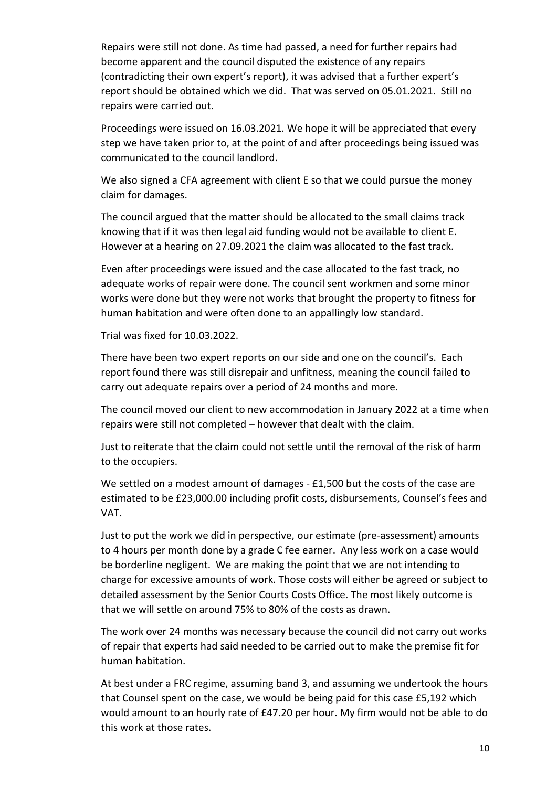Repairs were still not done. As time had passed, a need for further repairs had become apparent and the council disputed the existence of any repairs (contradicting their own expert's report), it was advised that a further expert's report should be obtained which we did. That was served on 05.01.2021. Still no repairs were carried out.

Proceedings were issued on 16.03.2021. We hope it will be appreciated that every step we have taken prior to, at the point of and after proceedings being issued was communicated to the council landlord.

We also signed a CFA agreement with client E so that we could pursue the money claim for damages.

The council argued that the matter should be allocated to the small claims track knowing that if it was then legal aid funding would not be available to client E. However at a hearing on 27.09.2021 the claim was allocated to the fast track.

Even after proceedings were issued and the case allocated to the fast track, no adequate works of repair were done. The council sent workmen and some minor works were done but they were not works that brought the property to fitness for human habitation and were often done to an appallingly low standard.

Trial was fixed for 10.03.2022.

There have been two expert reports on our side and one on the council's. Each report found there was still disrepair and unfitness, meaning the council failed to carry out adequate repairs over a period of 24 months and more.

The council moved our client to new accommodation in January 2022 at a time when repairs were still not completed – however that dealt with the claim.

Just to reiterate that the claim could not settle until the removal of the risk of harm to the occupiers.

We settled on a modest amount of damages - £1,500 but the costs of the case are estimated to be £23,000.00 including profit costs, disbursements, Counsel's fees and VAT.

Just to put the work we did in perspective, our estimate (pre-assessment) amounts to 4 hours per month done by a grade C fee earner. Any less work on a case would be borderline negligent. We are making the point that we are not intending to charge for excessive amounts of work. Those costs will either be agreed or subject to detailed assessment by the Senior Courts Costs Office. The most likely outcome is that we will settle on around 75% to 80% of the costs as drawn.

The work over 24 months was necessary because the council did not carry out works of repair that experts had said needed to be carried out to make the premise fit for human habitation.

At best under a FRC regime, assuming band 3, and assuming we undertook the hours that Counsel spent on the case, we would be being paid for this case £5,192 which would amount to an hourly rate of £47.20 per hour. My firm would not be able to do this work at those rates.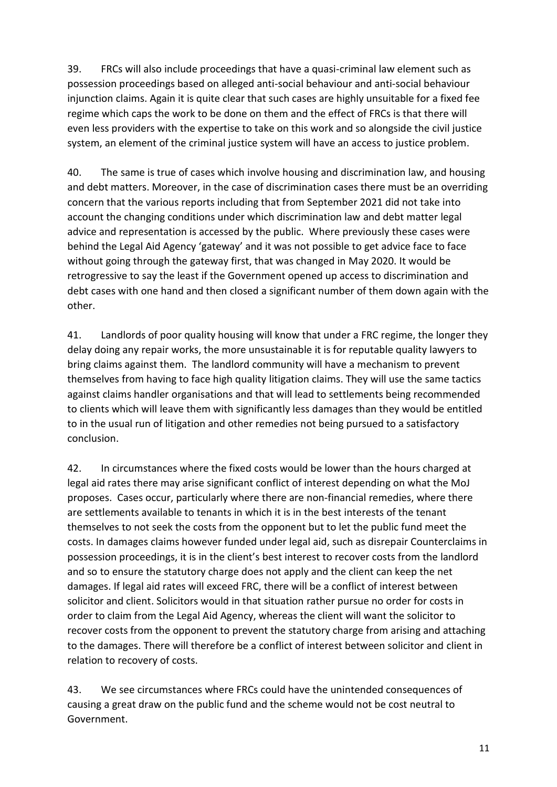39. FRCs will also include proceedings that have a quasi-criminal law element such as possession proceedings based on alleged anti-social behaviour and anti-social behaviour injunction claims. Again it is quite clear that such cases are highly unsuitable for a fixed fee regime which caps the work to be done on them and the effect of FRCs is that there will even less providers with the expertise to take on this work and so alongside the civil justice system, an element of the criminal justice system will have an access to justice problem.

40. The same is true of cases which involve housing and discrimination law, and housing and debt matters. Moreover, in the case of discrimination cases there must be an overriding concern that the various reports including that from September 2021 did not take into account the changing conditions under which discrimination law and debt matter legal advice and representation is accessed by the public. Where previously these cases were behind the Legal Aid Agency 'gateway' and it was not possible to get advice face to face without going through the gateway first, that was changed in May 2020. It would be retrogressive to say the least if the Government opened up access to discrimination and debt cases with one hand and then closed a significant number of them down again with the other.

41. Landlords of poor quality housing will know that under a FRC regime, the longer they delay doing any repair works, the more unsustainable it is for reputable quality lawyers to bring claims against them. The landlord community will have a mechanism to prevent themselves from having to face high quality litigation claims. They will use the same tactics against claims handler organisations and that will lead to settlements being recommended to clients which will leave them with significantly less damages than they would be entitled to in the usual run of litigation and other remedies not being pursued to a satisfactory conclusion.

42. In circumstances where the fixed costs would be lower than the hours charged at legal aid rates there may arise significant conflict of interest depending on what the MoJ proposes. Cases occur, particularly where there are non-financial remedies, where there are settlements available to tenants in which it is in the best interests of the tenant themselves to not seek the costs from the opponent but to let the public fund meet the costs. In damages claims however funded under legal aid, such as disrepair Counterclaims in possession proceedings, it is in the client's best interest to recover costs from the landlord and so to ensure the statutory charge does not apply and the client can keep the net damages. If legal aid rates will exceed FRC, there will be a conflict of interest between solicitor and client. Solicitors would in that situation rather pursue no order for costs in order to claim from the Legal Aid Agency, whereas the client will want the solicitor to recover costs from the opponent to prevent the statutory charge from arising and attaching to the damages. There will therefore be a conflict of interest between solicitor and client in relation to recovery of costs.

43. We see circumstances where FRCs could have the unintended consequences of causing a great draw on the public fund and the scheme would not be cost neutral to Government.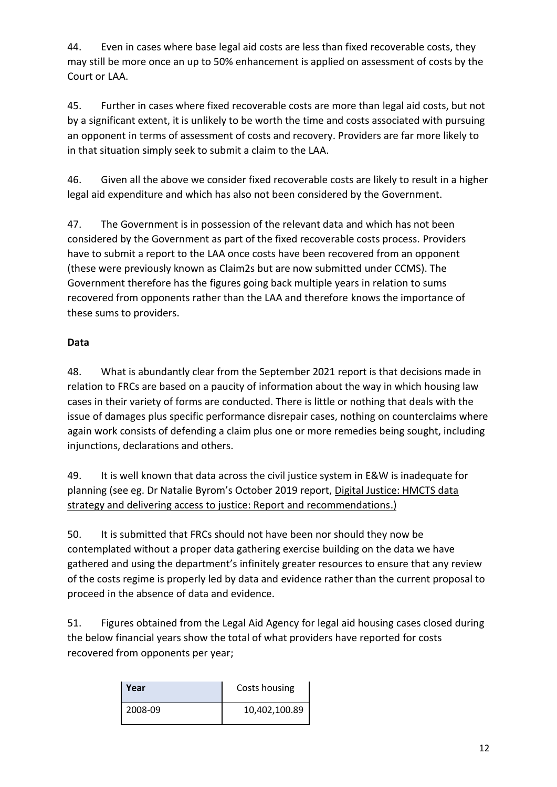44. Even in cases where base legal aid costs are less than fixed recoverable costs, they may still be more once an up to 50% enhancement is applied on assessment of costs by the Court or LAA.

45. Further in cases where fixed recoverable costs are more than legal aid costs, but not by a significant extent, it is unlikely to be worth the time and costs associated with pursuing an opponent in terms of assessment of costs and recovery. Providers are far more likely to in that situation simply seek to submit a claim to the LAA.

46. Given all the above we consider fixed recoverable costs are likely to result in a higher legal aid expenditure and which has also not been considered by the Government.

47. The Government is in possession of the relevant data and which has not been considered by the Government as part of the fixed recoverable costs process. Providers have to submit a report to the LAA once costs have been recovered from an opponent (these were previously known as Claim2s but are now submitted under CCMS). The Government therefore has the figures going back multiple years in relation to sums recovered from opponents rather than the LAA and therefore knows the importance of these sums to providers.

# **Data**

48. What is abundantly clear from the September 2021 report is that decisions made in relation to FRCs are based on a paucity of information about the way in which housing law cases in their variety of forms are conducted. There is little or nothing that deals with the issue of damages plus specific performance disrepair cases, nothing on counterclaims where again work consists of defending a claim plus one or more remedies being sought, including injunctions, declarations and others.

49. It is well known that data across the civil justice system in E&W is inadequate for planning (see eg. Dr Natalie Byrom's October 2019 report, [Digital Justice: HMCTS data](https://assets.publishing.service.gov.uk/government/uploads/system/uploads/attachment_data/file/835778/DigitalJusticeFINAL.PDF)  [strategy and delivering access to justice: Report and recommendations.\)](https://assets.publishing.service.gov.uk/government/uploads/system/uploads/attachment_data/file/835778/DigitalJusticeFINAL.PDF)

50. It is submitted that FRCs should not have been nor should they now be contemplated without a proper data gathering exercise building on the data we have gathered and using the department's infinitely greater resources to ensure that any review of the costs regime is properly led by data and evidence rather than the current proposal to proceed in the absence of data and evidence.

51. Figures obtained from the Legal Aid Agency for legal aid housing cases closed during the below financial years show the total of what providers have reported for costs recovered from opponents per year;

| Year    | Costs housing |
|---------|---------------|
| 2008-09 | 10,402,100.89 |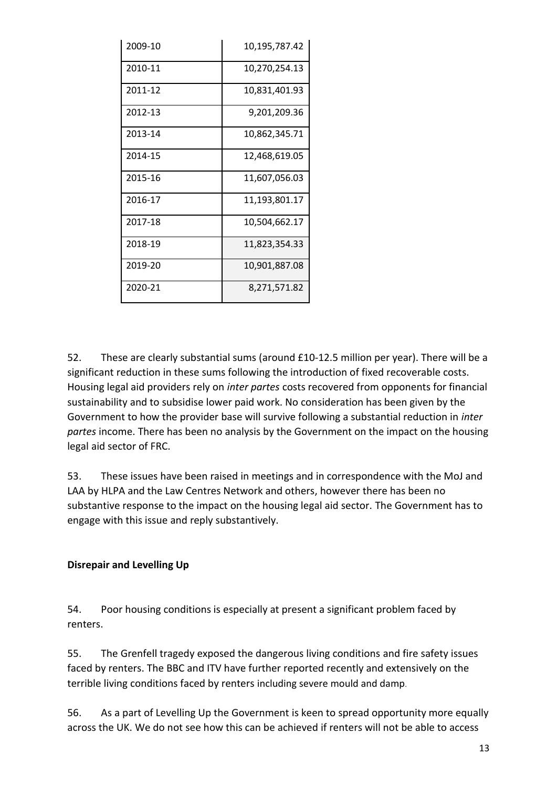| 2009-10 | 10,195,787.42 |
|---------|---------------|
| 2010-11 | 10,270,254.13 |
| 2011-12 | 10,831,401.93 |
| 2012-13 | 9,201,209.36  |
| 2013-14 | 10,862,345.71 |
| 2014-15 | 12,468,619.05 |
| 2015-16 | 11,607,056.03 |
| 2016-17 | 11,193,801.17 |
| 2017-18 | 10,504,662.17 |
| 2018-19 | 11,823,354.33 |
| 2019-20 | 10,901,887.08 |
| 2020-21 | 8,271,571.82  |

52. These are clearly substantial sums (around £10-12.5 million per year). There will be a significant reduction in these sums following the introduction of fixed recoverable costs. Housing legal aid providers rely on *inter partes* costs recovered from opponents for financial sustainability and to subsidise lower paid work. No consideration has been given by the Government to how the provider base will survive following a substantial reduction in *inter partes* income. There has been no analysis by the Government on the impact on the housing legal aid sector of FRC.

53. These issues have been raised in meetings and in correspondence with the MoJ and LAA by HLPA and the Law Centres Network and others, however there has been no substantive response to the impact on the housing legal aid sector. The Government has to engage with this issue and reply substantively.

## **Disrepair and Levelling Up**

54. Poor housing conditions is especially at present a significant problem faced by renters.

55. The Grenfell tragedy exposed the dangerous living conditions and fire safety issues faced by renters. The BBC and ITV have further reported recently and extensively on the terrible living conditions faced by renters including severe mould and damp.

56. As a part of Levelling Up the Government is keen to spread opportunity more equally across the UK. We do not see how this can be achieved if renters will not be able to access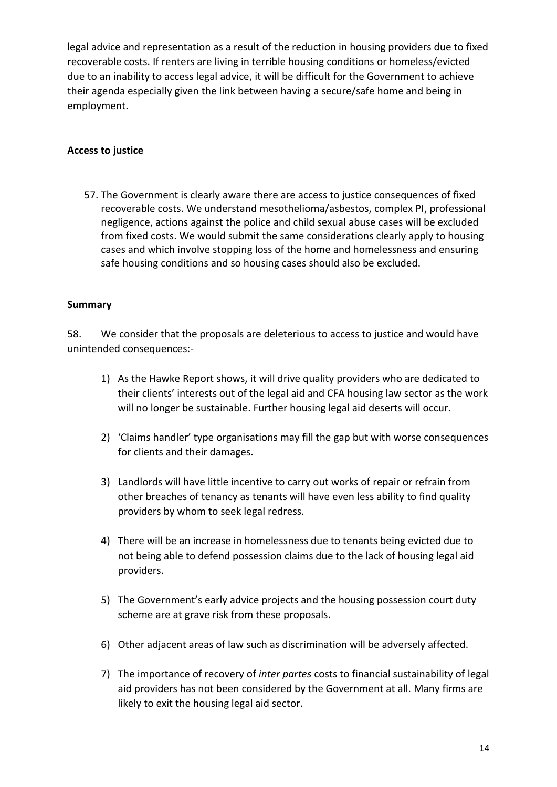legal advice and representation as a result of the reduction in housing providers due to fixed recoverable costs. If renters are living in terrible housing conditions or homeless/evicted due to an inability to access legal advice, it will be difficult for the Government to achieve their agenda especially given the link between having a secure/safe home and being in employment.

#### **Access to justice**

57. The Government is clearly aware there are access to justice consequences of fixed recoverable costs. We understand mesothelioma/asbestos, complex PI, professional negligence, actions against the police and child sexual abuse cases will be excluded from fixed costs. We would submit the same considerations clearly apply to housing cases and which involve stopping loss of the home and homelessness and ensuring safe housing conditions and so housing cases should also be excluded.

#### **Summary**

58. We consider that the proposals are deleterious to access to justice and would have unintended consequences:-

- 1) As the Hawke Report shows, it will drive quality providers who are dedicated to their clients' interests out of the legal aid and CFA housing law sector as the work will no longer be sustainable. Further housing legal aid deserts will occur.
- 2) 'Claims handler' type organisations may fill the gap but with worse consequences for clients and their damages.
- 3) Landlords will have little incentive to carry out works of repair or refrain from other breaches of tenancy as tenants will have even less ability to find quality providers by whom to seek legal redress.
- 4) There will be an increase in homelessness due to tenants being evicted due to not being able to defend possession claims due to the lack of housing legal aid providers.
- 5) The Government's early advice projects and the housing possession court duty scheme are at grave risk from these proposals.
- 6) Other adjacent areas of law such as discrimination will be adversely affected.
- 7) The importance of recovery of *inter partes* costs to financial sustainability of legal aid providers has not been considered by the Government at all. Many firms are likely to exit the housing legal aid sector.